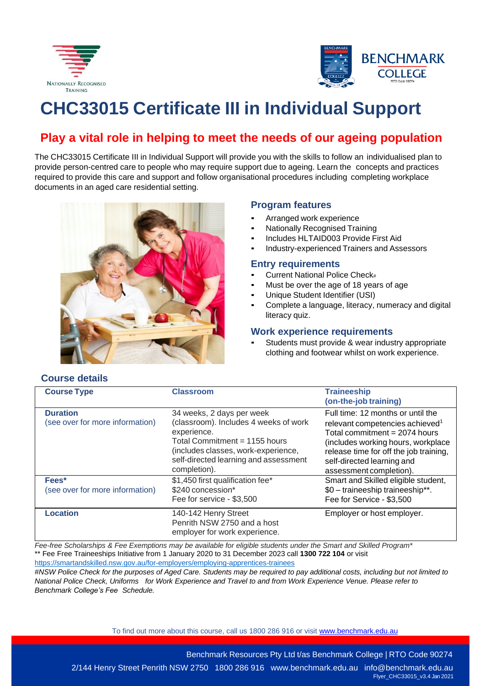



# **CHC33015 Certificate III in Individual Support**

# **Play a vital role in helping to meet the needs of our ageing population**

The CHC33015 Certificate III in Individual Support will provide you with the skills to follow an individualised plan to provide person-centred care to people who may require support due to ageing. Learn the concepts and practices required to provide this care and support and follow organisational procedures including completing workplace documents in an aged care residential setting.



# **Program features**

- Arranged work experience
- **Nationally Recognised Training**
- Includes HLTAID003 Provide First Aid
- Industry-experienced Trainers and Assessors

# **Entry requirements**

- Current National Police Check#
- Must be over the age of 18 years of age
- Unique Student Identifier (USI)
- Complete a language, literacy, numeracy and digital literacy quiz.

#### **Work experience requirements**

Students must provide & wear industry appropriate clothing and footwear whilst on work experience.

| <b>Course Type</b>                                 | <b>Classroom</b>                                                                                                                                                                                                   | <b>Traineeship</b><br>(on-the-job training)                                                                                                                                                                                                                  |
|----------------------------------------------------|--------------------------------------------------------------------------------------------------------------------------------------------------------------------------------------------------------------------|--------------------------------------------------------------------------------------------------------------------------------------------------------------------------------------------------------------------------------------------------------------|
| <b>Duration</b><br>(see over for more information) | 34 weeks, 2 days per week<br>(classroom). Includes 4 weeks of work<br>experience.<br>Total Commitment = 1155 hours<br>(includes classes, work-experience,<br>self-directed learning and assessment<br>completion). | Full time: 12 months or until the<br>relevant competencies achieved <sup>1</sup><br>Total commitment $= 2074$ hours<br>(includes working hours, workplace<br>release time for off the job training,<br>self-directed learning and<br>assessment completion). |
| Fees*<br>(see over for more information)           | \$1,450 first qualification fee*<br>\$240 concession*<br>Fee for service - \$3,500                                                                                                                                 | Smart and Skilled eligible student,<br>\$0 - traineeship traineeship**.<br>Fee for Service - \$3,500                                                                                                                                                         |
| <b>Location</b>                                    | 140-142 Henry Street<br>Penrith NSW 2750 and a host<br>employer for work experience.                                                                                                                               | Employer or host employer.                                                                                                                                                                                                                                   |

*Fee-free Scholarships & Fee Exemptions may be available for eligible students under the Smart and Skilled Program\** \*\* Fee Free Traineeships Initiative from 1 January 2020 to 31 December 2023 call **1300 722 104** or visit <https://smartandskilled.nsw.gov.au/for-employers/employing-apprentices-trainees>

*#NSW Police Check for the purposes of Aged Care. Students may be required to pay additional costs, including but not limited to*  National Police Check, Uniforms for Work Experience and Travel to and from Work Experience Venue. Please refer to *Benchmark College's Fee Schedule.*

To find out more about this course, call us 1800 286 916 or visit [www.benchmark.edu.au](http://www.benchmark.edu.au/)

Benchmark Resources Pty Ltd t/as Benchmark College | RTO Code 90274

2/144 Henry Street Penrith NSW 2750 1800 286 916 [www.benchmark.edu.au](http://www.benchmark.edu.au/) [info@benchmark.edu.au](mailto:info@benchmark.edu.au) Flyer\_CHC33015\_v3.4 Jan 2021

# **Course details**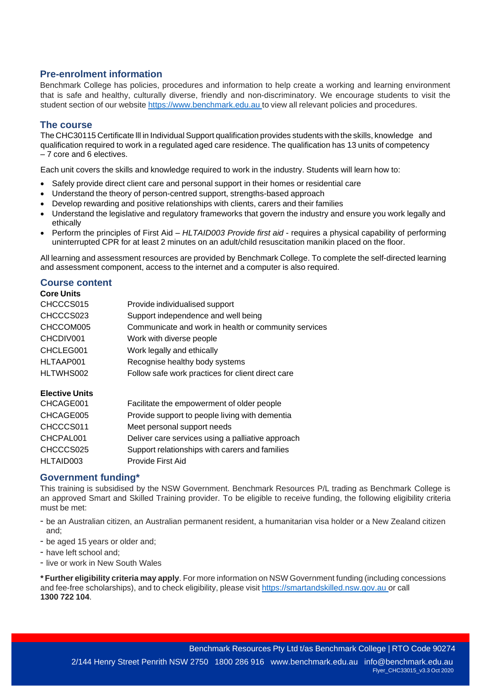# **Pre-enrolment information**

Benchmark College has policies, procedures and information to help create a working and learning environment that is safe and healthy, culturally diverse, friendly and non-discriminatory. We encourage students to visit the student section of our website [https://www.benchmark.edu.au](https://www.benchmark.edu.au/) to view all relevant policies and procedures.

# **The course**

The CHC30115 Certificate lll in Individual Support qualification provides students with the skills, knowledge and qualification required to work in a regulated aged care residence. The qualification has 13 units of competency – 7 core and 6 electives.

Each unit covers the skills and knowledge required to work in the industry. Students will learn how to:

- Safely provide direct client care and personal support in their homes or residential care
- Understand the theory of person-centred support, strengths-based approach
- Develop rewarding and positive relationships with clients, carers and their families
- Understand the legislative and regulatory frameworks that govern the industry and ensure you work legally and ethically
- Perform the principles of First Aid *HLTAID003 Provide first aid* requires a physical capability of performing uninterrupted CPR for at least 2 minutes on an adult/child resuscitation manikin placed on the floor.

All learning and assessment resources are provided by Benchmark College. To complete the self-directed learning and assessment component, access to the internet and a computer is also required.

# **Course content**

| <b>Core Units</b>        |                                                      |
|--------------------------|------------------------------------------------------|
| CHCCCS015                | Provide individualised support                       |
| CHCCCS023                | Support independence and well being                  |
| CHCCOM005                | Communicate and work in health or community services |
| CHCDIV001                | Work with diverse people                             |
| CHCLEG001                | Work legally and ethically                           |
| HLTAAP001                | Recognise healthy body systems                       |
| HLTWHS002                | Follow safe work practices for client direct care    |
| <b>Elective Units</b>    |                                                      |
| CHCAGE001                | Facilitate the empowerment of older people           |
| CHCAGE005                | Provide support to people living with dementia       |
| $\bigcap_{n=1}^{\infty}$ | .                                                    |

| CHCAGE005 | Provide support to people living with dementia    |
|-----------|---------------------------------------------------|
| CHCCCS011 | Meet personal support needs                       |
| CHCPAL001 | Deliver care services using a palliative approach |
| CHCCCS025 | Support relationships with carers and families    |
| HLTAID003 | Provide First Aid                                 |

#### **Government funding\***

This training is subsidised by the NSW Government. Benchmark Resources P/L trading as Benchmark College is an approved Smart and Skilled Training provider. To be eligible to receive funding, the following eligibility criteria must be met:

- be an Australian citizen, an Australian permanent resident, a humanitarian visa holder or a New Zealand citizen and;
- be aged 15 years or older and;
- have left school and;
- live or work in New South Wales

**\* Further eligibility criteria may apply**. For more information on NSW Government funding (including concessions and fee-free scholarships), and to check eligibility, please visit [https://smartandskilled.nsw.gov.au](https://smartandskilled.nsw.gov.au/) or call **1300 722 104**.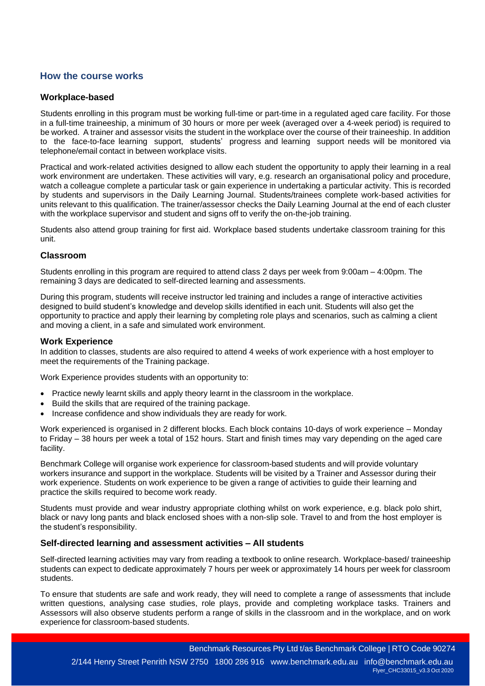# **How the course works**

#### **Workplace-based**

Students enrolling in this program must be working full-time or part-time in a regulated aged care facility. For those in a full-time traineeship, a minimum of 30 hours or more per week (averaged over a 4-week period) is required to be worked. A trainer and assessor visits the student in the workplace over the course of their traineeship. In addition to the face-to-face learning support, students' progress and learning support needs will be monitored via telephone/email contact in between workplace visits.

Practical and work-related activities designed to allow each student the opportunity to apply their learning in a real work environment are undertaken. These activities will vary, e.g. research an organisational policy and procedure, watch a colleague complete a particular task or gain experience in undertaking a particular activity. This is recorded by students and supervisors in the Daily Learning Journal. Students/trainees complete work-based activities for units relevant to this qualification. The trainer/assessor checks the Daily Learning Journal at the end of each cluster with the workplace supervisor and student and signs off to verify the on-the-job training.

Students also attend group training for first aid. Workplace based students undertake classroom training for this unit.

#### **Classroom**

Students enrolling in this program are required to attend class 2 days per week from 9:00am – 4:00pm. The remaining 3 days are dedicated to self-directed learning and assessments.

During this program, students will receive instructor led training and includes a range of interactive activities designed to build student's knowledge and develop skills identified in each unit. Students will also get the opportunity to practice and apply their learning by completing role plays and scenarios, such as calming a client and moving a client, in a safe and simulated work environment.

#### **Work Experience**

In addition to classes, students are also required to attend 4 weeks of work experience with a host employer to meet the requirements of the Training package.

Work Experience provides students with an opportunity to:

- Practice newly learnt skills and apply theory learnt in the classroom in the workplace.
- Build the skills that are required of the training package.
- Increase confidence and show individuals they are ready for work.

Work experienced is organised in 2 different blocks. Each block contains 10-days of work experience – Monday to Friday – 38 hours per week a total of 152 hours. Start and finish times may vary depending on the aged care facility.

Benchmark College will organise work experience for classroom-based students and will provide voluntary workers insurance and support in the workplace. Students will be visited by a Trainer and Assessor during their work experience. Students on work experience to be given a range of activities to guide their learning and practice the skills required to become work ready.

Students must provide and wear industry appropriate clothing whilst on work experience, e.g. black polo shirt, black or navy long pants and black enclosed shoes with a non-slip sole. Travel to and from the host employer is the student's responsibility.

#### **Self-directed learning and assessment activities – All students**

Self-directed learning activities may vary from reading a textbook to online research. Workplace-based/ traineeship students can expect to dedicate approximately 7 hours per week or approximately 14 hours per week for classroom students.

To ensure that students are safe and work ready, they will need to complete a range of assessments that include written questions, analysing case studies, role plays, provide and completing workplace tasks. Trainers and Assessors will also observe students perform a range of skills in the classroom and in the workplace, and on work experience for classroom-based students.